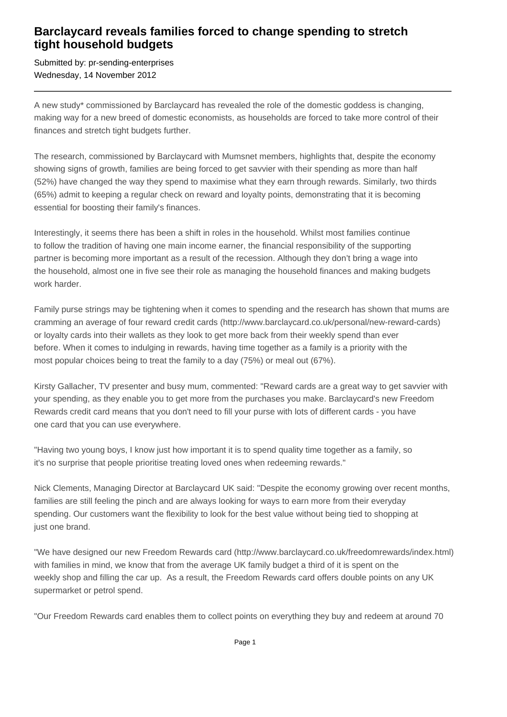## **Barclaycard reveals families forced to change spending to stretch tight household budgets**

Submitted by: pr-sending-enterprises Wednesday, 14 November 2012

A new study\* commissioned by Barclaycard has revealed the role of the domestic goddess is changing, making way for a new breed of domestic economists, as households are forced to take more control of their finances and stretch tight budgets further.

The research, commissioned by Barclaycard with Mumsnet members, highlights that, despite the economy showing signs of growth, families are being forced to get savvier with their spending as more than half (52%) have changed the way they spend to maximise what they earn through rewards. Similarly, two thirds (65%) admit to keeping a regular check on reward and loyalty points, demonstrating that it is becoming essential for boosting their family's finances.

Interestingly, it seems there has been a shift in roles in the household. Whilst most families continue to follow the tradition of having one main income earner, the financial responsibility of the supporting partner is becoming more important as a result of the recession. Although they don't bring a wage into the household, almost one in five see their role as managing the household finances and making budgets work harder.

Family purse strings may be tightening when it comes to spending and the research has shown that mums are cramming an average of four reward credit cards (http://www.barclaycard.co.uk/personal/new-reward-cards) or loyalty cards into their wallets as they look to get more back from their weekly spend than ever before. When it comes to indulging in rewards, having time together as a family is a priority with the most popular choices being to treat the family to a day (75%) or meal out (67%).

Kirsty Gallacher, TV presenter and busy mum, commented: "Reward cards are a great way to get savvier with your spending, as they enable you to get more from the purchases you make. Barclaycard's new Freedom Rewards credit card means that you don't need to fill your purse with lots of different cards - you have one card that you can use everywhere.

"Having two young boys, I know just how important it is to spend quality time together as a family, so it's no surprise that people prioritise treating loved ones when redeeming rewards."

Nick Clements, Managing Director at Barclaycard UK said: "Despite the economy growing over recent months, families are still feeling the pinch and are always looking for ways to earn more from their everyday spending. Our customers want the flexibility to look for the best value without being tied to shopping at just one brand.

"We have designed our new Freedom Rewards card (http://www.barclaycard.co.uk/freedomrewards/index.html) with families in mind, we know that from the average UK family budget a third of it is spent on the weekly shop and filling the car up. As a result, the Freedom Rewards card offers double points on any UK supermarket or petrol spend.

"Our Freedom Rewards card enables them to collect points on everything they buy and redeem at around 70